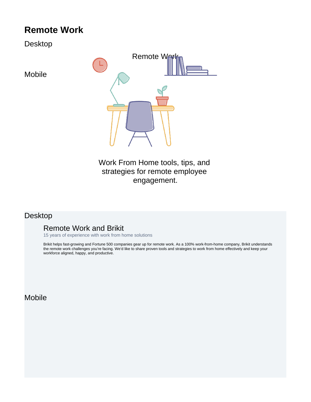# **Remote Work**

Desktop

Mobile



Work From Home tools, tips, and strategies for remote employee engagement.

## Desktop

# Remote Work and Brikit

15 years of experience with work from home solutions

Brikit helps fast-growing and Fortune 500 companies gear up for remote work. As a 100% work-from-home company, Brikit understands the remote work challenges you're facing. We'd like to share proven tools and strategies to work from home effectively and keep your workforce aligned, happy, and productive.

**Mobile**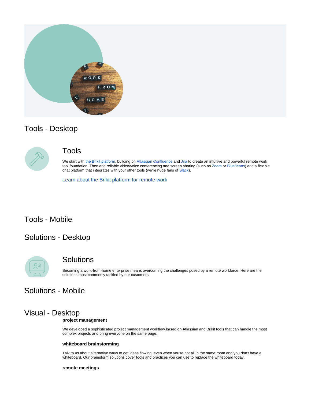

## Tools - Desktop



### Tools

We start with [the Brikit platform,](https://www.brikit.com/display/platform/The+Brikit+Platform) building on [Atlassian Confluence](https://www.atlassian.com/confluence) and [Jira](https://www.atlassian.com/jira) to create an intuitive and powerful remote work tool foundation. Then add reliable video/voice conferencing and screen sharing (such as [Zoom](https://zoom.us) or [BlueJeans](https://www.bluejeans.com)) and a flexible chat platform that integrates with your other tools (we're huge fans of [Slack](https://slack.com)).

[Learn about the Brikit platform for remote work](https://www.brikit.com/display/platform/The+Brikit+Platform)

## Tools - Mobile

## Solutions - Desktop



### **Solutions**

Becoming a work-from-home enterprise means overcoming the challenges posed by a remote workforce. Here are the solutions most commonly tackled by our customers:

## Solutions - Mobile

## Visual - Desktop

### **project management**

We developed a sophisticated project management workflow based on Atlassian and Brikit tools that can handle the most complex projects and bring everyone on the same page.

### **whiteboard brainstorming**

Talk to us about alternative ways to get ideas flowing, even when you're not all in the same room and you don't have a whiteboard. Our brainstorm solutions cover tools and practices you can use to replace the whiteboard today.

### **remote meetings**